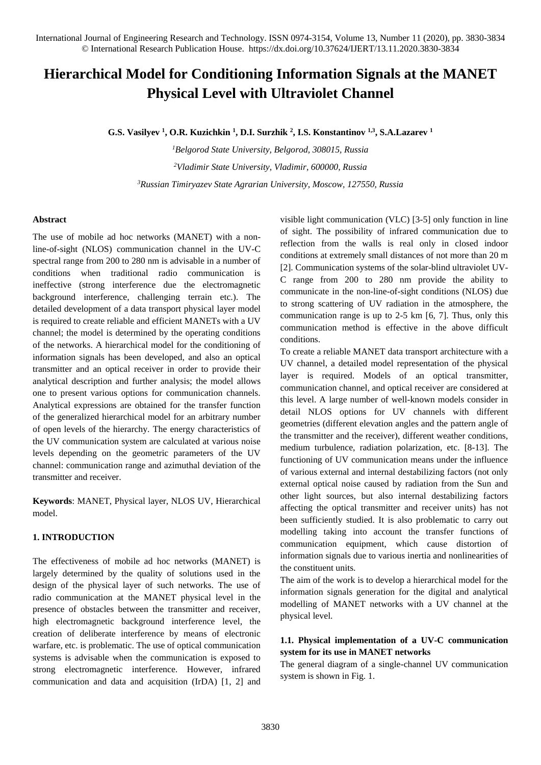# **Hierarchical Model for Conditioning Information Signals at the MANET Physical Level with Ultraviolet Channel**

**G.S. Vasilyev <sup>1</sup> , O.R. Kuzichkin <sup>1</sup> , D.I. Surzhik <sup>2</sup> , I.S. Konstantinov 1,3, S.A.Lazarev <sup>1</sup>**

*<sup>1</sup>Belgorod State University, Belgorod, 308015, Russia <sup>2</sup>Vladimir State University, Vladimir, 600000, Russia <sup>3</sup>Russian Timiryazev State Agrarian University, Moscow, 127550, Russia*

## **Abstract**

The use of mobile ad hoc networks (MANET) with a nonline-of-sight (NLOS) communication channel in the UV-C spectral range from 200 to 280 nm is advisable in a number of conditions when traditional radio communication is ineffective (strong interference due the electromagnetic background interference, challenging terrain etc.). The detailed development of a data transport physical layer model is required to create reliable and efficient MANETs with a UV channel; the model is determined by the operating conditions of the networks. A hierarchical model for the conditioning of information signals has been developed, and also an optical transmitter and an optical receiver in order to provide their analytical description and further analysis; the model allows one to present various options for communication channels. Analytical expressions are obtained for the transfer function of the generalized hierarchical model for an arbitrary number of open levels of the hierarchy. The energy characteristics of the UV communication system are calculated at various noise levels depending on the geometric parameters of the UV channel: communication range and azimuthal deviation of the transmitter and receiver.

**Keywords**: MANET, Physical layer, NLOS UV, Hierarchical model.

## **1. INTRODUCTION**

The effectiveness of mobile ad hoc networks (MANET) is largely determined by the quality of solutions used in the design of the physical layer of such networks. The use of radio communication at the MANET physical level in the presence of obstacles between the transmitter and receiver, high electromagnetic background interference level, the creation of deliberate interference by means of electronic warfare, etc. is problematic. The use of optical communication systems is advisable when the communication is exposed to strong electromagnetic interference. However, infrared communication and data and acquisition (IrDA) [1, 2] and visible light communication (VLC) [3-5] only function in line of sight. The possibility of infrared communication due to reflection from the walls is real only in closed indoor conditions at extremely small distances of not more than 20 m [2]. Communication systems of the solar-blind ultraviolet UV-C range from 200 to 280 nm provide the ability to communicate in the non-line-of-sight conditions (NLOS) due to strong scattering of UV radiation in the atmosphere, the communication range is up to 2-5 km [6, 7]. Thus, only this communication method is effective in the above difficult conditions.

To create a reliable MANET data transport architecture with a UV channel, a detailed model representation of the physical layer is required. Models of an optical transmitter, communication channel, and optical receiver are considered at this level. A large number of well-known models consider in detail NLOS options for UV channels with different geometries (different elevation angles and the pattern angle of the transmitter and the receiver), different weather conditions, medium turbulence, radiation polarization, etc. [8-13]. The functioning of UV communication means under the influence of various external and internal destabilizing factors (not only external optical noise caused by radiation from the Sun and other light sources, but also internal destabilizing factors affecting the optical transmitter and receiver units) has not been sufficiently studied. It is also problematic to carry out modelling taking into account the transfer functions of communication equipment, which cause distortion of information signals due to various inertia and nonlinearities of the constituent units.

The aim of the work is to develop a hierarchical model for the information signals generation for the digital and analytical modelling of MANET networks with a UV channel at the physical level.

## **1.1. Physical implementation of a UV-C communication system for its use in MANET networks**

The general diagram of a single-channel UV communication system is shown in Fig. 1.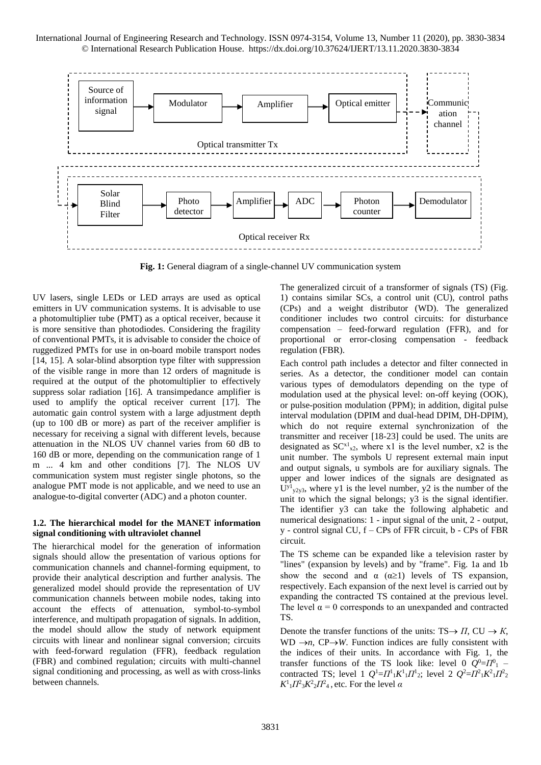

**Fig. 1:** General diagram of a single-channel UV communication system

UV lasers, single LEDs or LED arrays are used as optical emitters in UV communication systems. It is advisable to use a photomultiplier tube (PMT) as a optical receiver, because it is more sensitive than photodiodes. Considering the fragility of conventional PMTs, it is advisable to consider the choice of ruggedized PMTs for use in on-board mobile transport nodes [14, 15]. A solar-blind absorption type filter with suppression of the visible range in more than 12 orders of magnitude is required at the output of the photomultiplier to effectively suppress solar radiation [16]. A transimpedance amplifier is used to amplify the optical receiver current [17]. The automatic gain control system with a large adjustment depth (up to 100 dB or more) as part of the receiver amplifier is necessary for receiving a signal with different levels, because attenuation in the NLOS UV channel varies from 60 dB to 160 dB or more, depending on the communication range of 1 m ... 4 km and other conditions [7]. The NLOS UV communication system must register single photons, so the analogue PMT mode is not applicable, and we need to use an analogue-to-digital converter (ADC) and a photon counter.

#### **1.2. The hierarchical model for the MANET information signal conditioning with ultraviolet channel**

The hierarchical model for the generation of information signals should allow the presentation of various options for communication channels and channel-forming equipment, to provide their analytical description and further analysis. The generalized model should provide the representation of UV communication channels between mobile nodes, taking into account the effects of attenuation, symbol-to-symbol interference, and multipath propagation of signals. In addition, the model should allow the study of network equipment circuits with linear and nonlinear signal conversion; circuits with feed-forward regulation (FFR), feedback regulation (FBR) and combined regulation; circuits with multi-channel signal conditioning and processing, as well as with cross-links between channels.

The generalized circuit of a transformer of signals (TS) (Fig. 1) contains similar SCs, a control unit (CU), control paths (CPs) and a weight distributor (WD). The generalized conditioner includes two control circuits: for disturbance compensation – feed-forward regulation (FFR), and for proportional or error-closing compensation - feedback regulation (FBR).

Each control path includes a detector and filter connected in series. As a detector, the conditioner model can contain various types of demodulators depending on the type of modulation used at the physical level: on-off keying (OOK), or pulse-position modulation (PPM); in addition, digital pulse interval modulation (DPIM and dual-head DPIM, DH-DPIM), which do not require external synchronization of the transmitter and receiver [18-23] could be used. The units are designated as  $SC^{x1}_{x2}$ , where x1 is the level number, x2 is the unit number. The symbols U represent external main input and output signals, u symbols are for auxiliary signals. The upper and lower indices of the signals are designated as  $U^{y_1}{}_{y_2y_3}$ , where y1 is the level number, y2 is the number of the unit to which the signal belongs; y3 is the signal identifier. The identifier y3 can take the following alphabetic and numerical designations: 1 - input signal of the unit, 2 - output, y - control signal CU, f – CPs of FFR circuit, b - CPs of FBR circuit.

The TS scheme can be expanded like a television raster by "lines" (expansion by levels) and by "frame". Fig. 1a and 1b show the second and  $\alpha$  ( $\alpha \ge 1$ ) levels of TS expansion, respectively. Each expansion of the next level is carried out by expanding the contracted TS contained at the previous level. The level  $\alpha = 0$  corresponds to an unexpanded and contracted TS.

Denote the transfer functions of the units:  $TS \rightarrow \Pi$ ,  $CU \rightarrow K$ , WD  $\rightarrow$ *n*, CP $\rightarrow$ *W*. Function indices are fully consistent with the indices of their units. In accordance with Fig. 1, the transfer functions of the TS look like: level 0  $Q^0 = \Pi^0$  – contracted TS; level 1  $Q^1 = \Pi^1{}_1 K^1{}_1 \Pi^1{}_2$ ; level 2  $Q^2 = \Pi^2{}_1 K^2{}_1 \Pi^2{}_2$  $K^1_1 \Pi^2_3 K^2_2 \Pi^2_4$ , etc. For the level *α*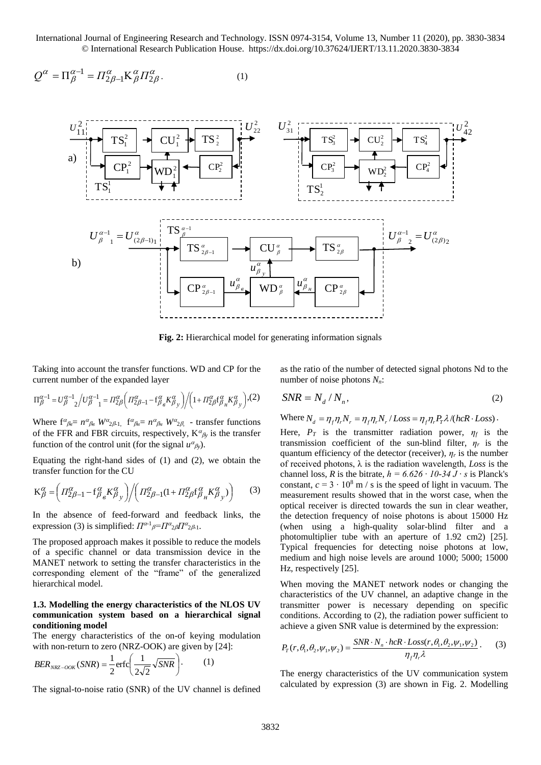International Journal of Engineering Research and Technology. ISSN 0974-3154, Volume 13, Number 11 (2020), pp. 3830-3834 © International Research Publication House. https://dx.doi.org/10.37624/IJERT/13.11.2020.3830-3834

$$
Q^{\alpha} = \Pi_{\beta}^{\alpha - 1} = \Pi_{2\beta - 1}^{\alpha} \mathbf{K}_{\beta}^{\alpha} \Pi_{2\beta}^{\alpha}.
$$
 (1)



**Fig. 2:** Hierarchical model for generating information signals

Taking into account the transfer functions. WD and CP for the current number of the expanded layer

$$
\Pi_{\beta}^{\alpha-1} = U_{\beta}^{\alpha-1} \left( U_{\beta}^{\alpha-1} \right) = \Pi_{2\beta}^{\alpha} \left( \Pi_{2\beta-1}^{\alpha} - f_{\beta}^{\alpha} K_{\beta}^{\alpha} \right) / \left( 1 + \Pi_{2\beta}^{\alpha} f_{\beta}^{\alpha} K_{\beta}^{\alpha} \right), (2)
$$

Where  $f^{\alpha}{}_{\beta\epsilon} = n^{\alpha}{}_{\beta\epsilon} W^{\alpha}{}_{2\beta}{}_{1}$ ,  $f^{\alpha}{}_{\beta\mu} = n^{\alpha}{}_{\beta\mu} W^{\alpha}{}_{2\beta}$ , - transfer functions of the FFR and FBR circuits, respectively,  $K^{\alpha}{}_{\beta}$  is the transfer function of the control unit (for the signal  $u^{\alpha}{}_{\beta y}$ ).

Equating the right-hand sides of (1) and (2), we obtain the transfer function for the CU

$$
\mathbf{K}_{\beta}^{\alpha} = \left( \Pi_{2\beta-1}^{\alpha} - \mathbf{f}_{\beta}^{\alpha} \mathbf{K}_{\beta}^{\alpha} \right) / \left( \Pi_{2\beta-1}^{\alpha} (1 + \Pi_{2\beta}^{\alpha} \mathbf{f}_{\beta}^{\alpha} \mathbf{K}_{\beta}^{\alpha} \mathbf{y}) \right)
$$
 (3)

In the absence of feed-forward and feedback links, the expression (3) is simplified:  $\Pi^{\alpha}$ - $\Pi^{\alpha}$ <sub>2</sub> $\beta$  $\Pi^{\alpha}$ <sub>2</sub> $\beta$ <sub>1</sub>.

The proposed approach makes it possible to reduce the models of a specific channel or data transmission device in the MANET network to setting the transfer characteristics in the corresponding element of the "frame" of the generalized hierarchical model.

#### **1.3. Modelling the energy characteristics of the NLOS UV communication system based on a hierarchical signal conditioning model**

The energy characteristics of the on-of keying modulation with non-return to zero (NRZ-OOK) are given by [24]:

$$
BER_{NRZ-OOK}(SNR) = \frac{1}{2}\text{erfc}\left(\frac{1}{2\sqrt{2}}\sqrt{SNR}\right). \tag{1}
$$

The signal-to-noise ratio (SNR) of the UV channel is defined

as the ratio of the number of detected signal photons Nd to the number of noise photons *Nn*:

$$
SNR = N_d / N_n, \t\t(2)
$$

Where  $N_d = \eta_f \eta_r N_r = \eta_f \eta_r N_r / Loss = \eta_f \eta_r P_r \lambda / (hcR \cdot Loss)$ .

Here,  $P_T$  is the transmitter radiation power,  $\eta_f$  is the transmission coefficient of the sun-blind filter,  $\eta_r$  is the quantum efficiency of the detector (receiver),  $\eta_r$  is the number of received photons, λ is the radiation wavelength, *Loss* is the channel loss, *R* is the bitrate,  $h = 6.626 \cdot 10\frac{34 \text{ J} \cdot \text{s}}{s}$  is Planck's constant,  $c = 3 \cdot 10^8$  m / s is the speed of light in vacuum. The measurement results showed that in the worst case, when the optical receiver is directed towards the sun in clear weather, the detection frequency of noise photons is about 15000 Hz (when using a high-quality solar-blind filter and a photomultiplier tube with an aperture of 1.92 cm2) [25]. Typical frequencies for detecting noise photons at low, medium and high noise levels are around 1000; 5000; 15000 Hz, respectively [25].

When moving the MANET network nodes or changing the characteristics of the UV channel, an adaptive change in the transmitter power is necessary depending on specific conditions. According to (2), the radiation power sufficient to achieve a given SNR value is determined by the expression:

$$
P_T(r,\theta_1,\theta_2,\psi_1,\psi_2) = \frac{SNR \cdot N_n \cdot hcR \cdot Loss(r,\theta_1,\theta_2,\psi_1,\psi_2)}{\eta_f \eta_r \lambda}.
$$
 (3)

The energy characteristics of the UV communication system calculated by expression (3) are shown in Fig. 2. Modelling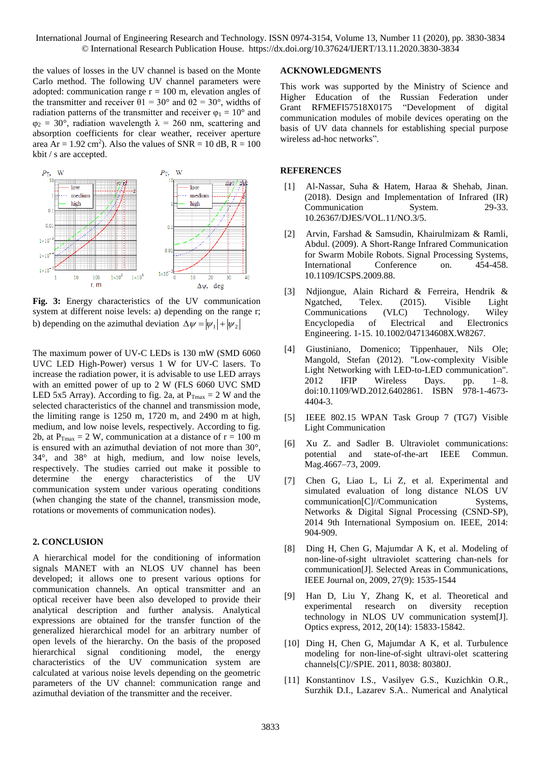International Journal of Engineering Research and Technology. ISSN 0974-3154, Volume 13, Number 11 (2020), pp. 3830-3834 © International Research Publication House. https://dx.doi.org/10.37624/IJERT/13.11.2020.3830-3834

the values of losses in the UV channel is based on the Monte Carlo method. The following UV channel parameters were adopted: communication range  $r = 100$  m, elevation angles of the transmitter and receiver  $\theta$ 1 = 30° and  $\theta$ 2 = 30°, widths of radiation patterns of the transmitter and receiver  $\varphi_1 = 10^{\circ}$  and  $\varphi_2 = 30^\circ$ , radiation wavelength  $\lambda = 260$  nm, scattering and absorption coefficients for clear weather, receiver aperture area  $Ar = 1.92$  cm<sup>2</sup>). Also the values of  $SNR = 10$  dB,  $R = 100$ kbit / s are accepted.



**Fig. 3:** Energy characteristics of the UV communication system at different noise levels: a) depending on the range r; b) depending on the azimuthal deviation  $\Delta \psi = |\psi_1| + |\psi_2|$ 

The maximum power of UV-C LEDs is 130 mW (SMD 6060 UVC LED High-Power) versus 1 W for UV-C lasers. To increase the radiation power, it is advisable to use LED arrays with an emitted power of up to 2 W (FLS 6060 UVC SMD LED 5x5 Array). According to fig. 2a, at  $P_{\text{Tmax}} = 2$  W and the selected characteristics of the channel and transmission mode, the limiting range is 1250 m, 1720 m, and 2490 m at high, medium, and low noise levels, respectively. According to fig. 2b, at  $P_{\text{Tmax}} = 2$  W, communication at a distance of  $r = 100$  m is ensured with an azimuthal deviation of not more than 30°, 34°, and 38° at high, medium, and low noise levels, respectively. The studies carried out make it possible to determine the energy characteristics of the UV communication system under various operating conditions (when changing the state of the channel, transmission mode, rotations or movements of communication nodes).

### **2. CONCLUSION**

A hierarchical model for the conditioning of information signals MANET with an NLOS UV channel has been developed; it allows one to present various options for communication channels. An optical transmitter and an optical receiver have been also developed to provide their analytical description and further analysis. Analytical expressions are obtained for the transfer function of the generalized hierarchical model for an arbitrary number of open levels of the hierarchy. On the basis of the proposed hierarchical signal conditioning model, the energy characteristics of the UV communication system are calculated at various noise levels depending on the geometric parameters of the UV channel: communication range and azimuthal deviation of the transmitter and the receiver.

#### **ACKNOWLEDGMENTS**

This work was supported by the Ministry of Science and Higher Education of the Russian Federation under Grant RFMEFI57518X0175 "Development of digital communication modules of mobile devices operating on the basis of UV data channels for establishing special purpose wireless ad-hoc networks".

#### **REFERENCES**

- [1] Al-Nassar, Suha & Hatem, Haraa & Shehab, Jinan. (2018). Design and Implementation of Infrared (IR) Communication System. 29-33. 10.26367/DJES/VOL.11/NO.3/5.
- [2] Arvin, Farshad & Samsudin, Khairulmizam & Ramli, Abdul. (2009). A Short-Range Infrared Communication for Swarm Mobile Robots. Signal Processing Systems, International Conference on. 454-458. 10.1109/ICSPS.2009.88.
- [3] Ndjiongue, Alain Richard & Ferreira, Hendrik & Ngatched, Telex. (2015). Visible Light Communications (VLC) Technology. Wiley Encyclopedia of Electrical and Electronics Engineering. 1-15. 10.1002/047134608X.W8267.
- [4] Giustiniano, Domenico; Tippenhauer, Nils Ole; Mangold, Stefan (2012). "Low-complexity Visible Light Networking with LED-to-LED communication". 2012 IFIP Wireless Days. pp. 1–8. doi:10.1109/WD.2012.6402861. ISBN 978-1-4673- 4404-3.
- [5] IEEE [802.15 WPAN Task Group 7](http://www.ieee802.org/15/pub/TG7.html) (TG7) Visible Light Communication
- [6] Xu Z. and Sadler B. Ultraviolet communications: potential and state-of-the-art IEEE Commun. Mag.4667–73, 2009.
- [7] Chen G, Liao L, Li Z, et al. Experimental and simulated evaluation of long distance NLOS UV communication[C]//Communication Systems, Networks & Digital Signal Processing (CSND-SP), 2014 9th International Symposium on. IEEE, 2014: 904-909.
- [8] Ding H, Chen G, Majumdar A K, et al. Modeling of non-line-of-sight ultraviolet scattering chan-nels for communication[J]. Selected Areas in Communications, IEEE Journal on, 2009, 27(9): 1535-1544
- [9] Han D, Liu Y, Zhang K, et al. Theoretical and experimental research on diversity reception technology in NLOS UV communication system[J]. Optics express, 2012, 20(14): 15833-15842.
- [10] Ding H, Chen G, Majumdar A K, et al. Turbulence modeling for non-line-of-sight ultravi-olet scattering channels[C]//SPIE. 2011, 8038: 80380J.
- [11] Konstantinov I.S., Vasilyev G.S., Kuzichkin O.R., Surzhik D.I., Lazarev S.A.. Numerical and Analytical